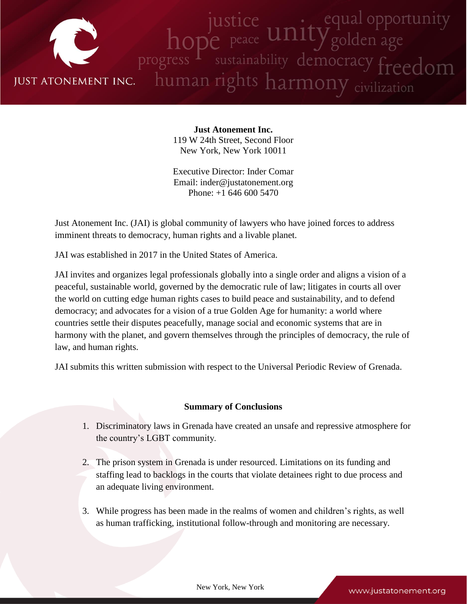

**Just Atonement Inc.** 119 W 24th Street, Second Floor New York, New York 10011

Executive Director: Inder Comar Email: inder@justatonement.org Phone: +1 646 600 5470

Just Atonement Inc. (JAI) is global community of lawyers who have joined forces to address imminent threats to democracy, human rights and a livable planet.

JAI was established in 2017 in the United States of America.

JAI invites and organizes legal professionals globally into a single order and aligns a vision of a peaceful, sustainable world, governed by the democratic rule of law; litigates in courts all over the world on cutting edge human rights cases to build peace and sustainability, and to defend democracy; and advocates for a vision of a true Golden Age for humanity: a world where countries settle their disputes peacefully, manage social and economic systems that are in harmony with the planet, and govern themselves through the principles of democracy, the rule of law, and human rights.

JAI submits this written submission with respect to the Universal Periodic Review of Grenada.

## **Summary of Conclusions**

- 1. Discriminatory laws in Grenada have created an unsafe and repressive atmosphere for the country's LGBT community.
- 2. The prison system in Grenada is under resourced. Limitations on its funding and staffing lead to backlogs in the courts that violate detainees right to due process and an adequate living environment.
- 3. While progress has been made in the realms of women and children's rights, as well as human trafficking, institutional follow-through and monitoring are necessary.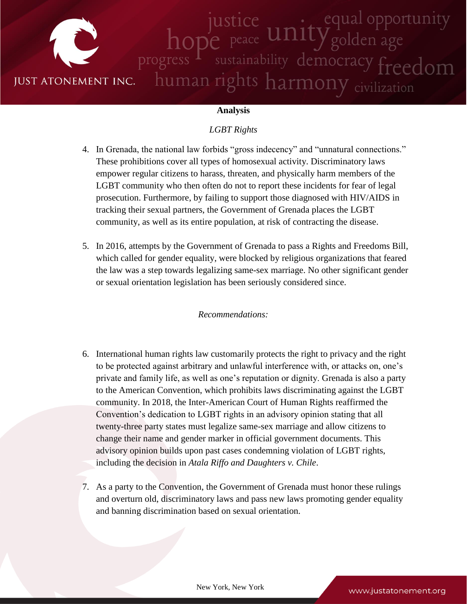

### **Analysis**

# *LGBT Rights*

- 4. In Grenada, the national law forbids "gross indecency" and "unnatural connections." These prohibitions cover all types of homosexual activity. Discriminatory laws empower regular citizens to harass, threaten, and physically harm members of the LGBT community who then often do not to report these incidents for fear of legal prosecution. Furthermore, by failing to support those diagnosed with HIV/AIDS in tracking their sexual partners, the Government of Grenada places the LGBT community, as well as its entire population, at risk of contracting the disease.
- 5. In 2016, attempts by the Government of Grenada to pass a Rights and Freedoms Bill, which called for gender equality, were blocked by religious organizations that feared the law was a step towards legalizing same-sex marriage. No other significant gender or sexual orientation legislation has been seriously considered since.

#### *Recommendations:*

- 6. International human rights law customarily protects the right to privacy and the right to be protected against arbitrary and unlawful interference with, or attacks on, one's private and family life, as well as one's reputation or dignity. Grenada is also a party to the American Convention, which prohibits laws discriminating against the LGBT community. In 2018, the Inter-American Court of Human Rights reaffirmed the Convention's dedication to LGBT rights in an advisory opinion stating that all twenty-three party states must legalize same-sex marriage and allow citizens to change their name and gender marker in official government documents. This advisory opinion builds upon past cases condemning violation of LGBT rights, including the decision in *Atala Riffo and Daughters v. Chile*.
- 7. As a party to the Convention, the Government of Grenada must honor these rulings and overturn old, discriminatory laws and pass new laws promoting gender equality and banning discrimination based on sexual orientation.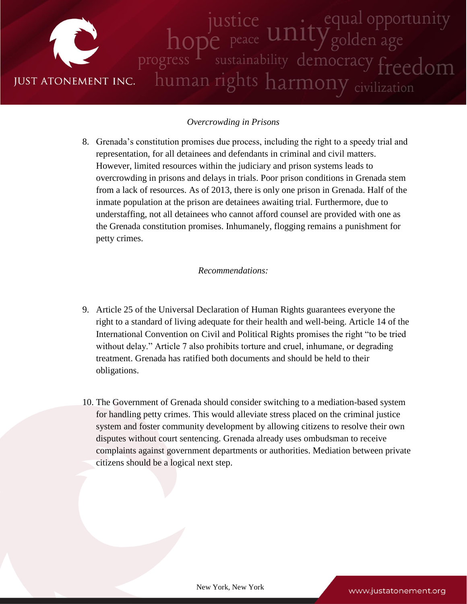

# *Overcrowding in Prisons*

8. Grenada's constitution promises due process, including the right to a speedy trial and representation, for all detainees and defendants in criminal and civil matters. However, limited resources within the judiciary and prison systems leads to overcrowding in prisons and delays in trials. Poor prison conditions in Grenada stem from a lack of resources. As of 2013, there is only one prison in Grenada. Half of the inmate population at the prison are detainees awaiting trial. Furthermore, due to understaffing, not all detainees who cannot afford counsel are provided with one as the Grenada constitution promises. Inhumanely, flogging remains a punishment for petty crimes.

#### *Recommendations:*

- 9. Article 25 of the Universal Declaration of Human Rights guarantees everyone the right to a standard of living adequate for their health and well-being. Article 14 of the International Convention on Civil and Political Rights promises the right "to be tried without delay." Article 7 also prohibits torture and cruel, inhumane, or degrading treatment. Grenada has ratified both documents and should be held to their obligations.
- 10. The Government of Grenada should consider switching to a mediation-based system for handling petty crimes. This would alleviate stress placed on the criminal justice system and foster community development by allowing citizens to resolve their own disputes without court sentencing. Grenada already uses ombudsman to receive complaints against government departments or authorities. Mediation between private citizens should be a logical next step.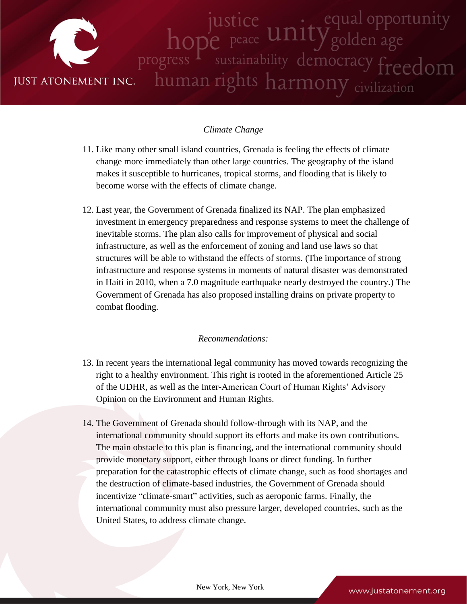

## *Climate Change*

- 11. Like many other small island countries, Grenada is feeling the effects of climate change more immediately than other large countries. The geography of the island makes it susceptible to hurricanes, tropical storms, and flooding that is likely to become worse with the effects of climate change.
- 12. Last year, the Government of Grenada finalized its NAP. The plan emphasized investment in emergency preparedness and response systems to meet the challenge of inevitable storms. The plan also calls for improvement of physical and social infrastructure, as well as the enforcement of zoning and land use laws so that structures will be able to withstand the effects of storms. (The importance of strong infrastructure and response systems in moments of natural disaster was demonstrated in Haiti in 2010, when a 7.0 magnitude earthquake nearly destroyed the country.) The Government of Grenada has also proposed installing drains on private property to combat flooding.

## *Recommendations:*

- 13. In recent years the international legal community has moved towards recognizing the right to a healthy environment. This right is rooted in the aforementioned Article 25 of the UDHR, as well as the Inter-American Court of Human Rights' Advisory Opinion on the Environment and Human Rights.
- 14. The Government of Grenada should follow-through with its NAP, and the international community should support its efforts and make its own contributions. The main obstacle to this plan is financing, and the international community should provide monetary support, either through loans or direct funding. In further preparation for the catastrophic effects of climate change, such as food shortages and the destruction of climate-based industries, the Government of Grenada should incentivize "climate-smart" activities, such as aeroponic farms. Finally, the international community must also pressure larger, developed countries, such as the United States, to address climate change.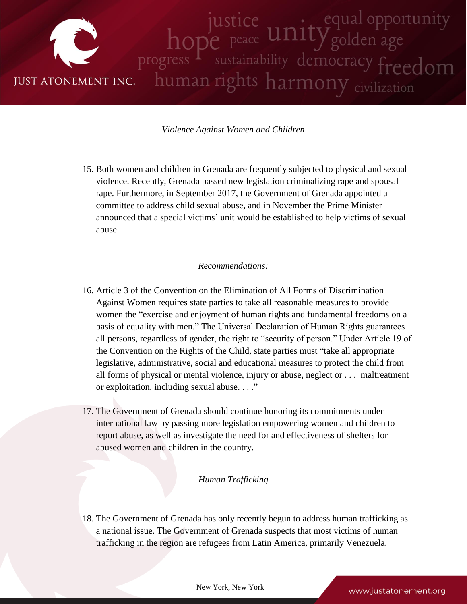

## *Violence Against Women and Children*

15. Both women and children in Grenada are frequently subjected to physical and sexual violence. Recently, Grenada passed new legislation criminalizing rape and spousal rape. Furthermore, in September 2017, the Government of Grenada appointed a committee to address child sexual abuse, and in November the Prime Minister announced that a special victims' unit would be established to help victims of sexual abuse.

## *Recommendations:*

- 16. Article 3 of the Convention on the Elimination of All Forms of Discrimination Against Women requires state parties to take all reasonable measures to provide women the "exercise and enjoyment of human rights and fundamental freedoms on a basis of equality with men." The Universal Declaration of Human Rights guarantees all persons, regardless of gender, the right to "security of person." Under Article 19 of the Convention on the Rights of the Child, state parties must "take all appropriate legislative, administrative, social and educational measures to protect the child from all forms of physical or mental violence, injury or abuse, neglect or . . . maltreatment or exploitation, including sexual abuse. . . ."
- 17. The Government of Grenada should continue honoring its commitments under international law by passing more legislation empowering women and children to report abuse, as well as investigate the need for and effectiveness of shelters for abused women and children in the country.

#### *Human Trafficking*

18. The Government of Grenada has only recently begun to address human trafficking as a national issue. The Government of Grenada suspects that most victims of human trafficking in the region are refugees from Latin America, primarily Venezuela.